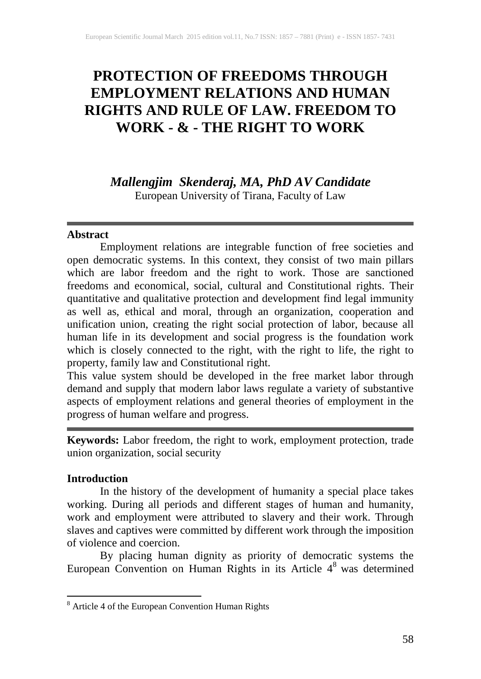# **PROTECTION OF FREEDOMS THROUGH EMPLOYMENT RELATIONS AND HUMAN RIGHTS AND RULE OF LAW. FREEDOM TO WORK - & - THE RIGHT TO WORK**

## *Mallengjim Skenderaj, MA, PhD AV Candidate*

European University of Tirana, Faculty of Law

### **Abstract**

Employment relations are integrable function of free societies and open democratic systems. In this context, they consist of two main pillars which are labor freedom and the right to work. Those are sanctioned freedoms and economical, social, cultural and Constitutional rights. Their quantitative and qualitative protection and development find legal immunity as well as, ethical and moral, through an organization, cooperation and unification union, creating the right social protection of labor, because all human life in its development and social progress is the foundation work which is closely connected to the right, with the right to life, the right to property, family law and Constitutional right.

This value system should be developed in the free market labor through demand and supply that modern labor laws regulate a variety of substantive aspects of employment relations and general theories of employment in the progress of human welfare and progress.

**Keywords:** Labor freedom, the right to work, employment protection, trade union organization, social security

## **Introduction**

In the history of the development of humanity a special place takes working. During all periods and different stages of human and humanity, work and employment were attributed to slavery and their work. Through slaves and captives were committed by different work through the imposition of violence and coercion.

By placing human dignity as priority of democratic systems the European Convention on Human Rights in its Article  $4<sup>8</sup>$  was determined

<sup>8</sup> Article 4 of the European Convention Human Rights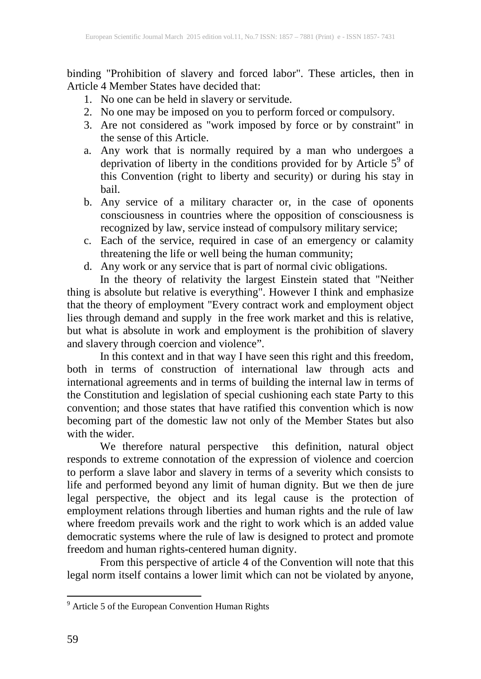binding "Prohibition of slavery and forced labor". These articles, then in Article 4 Member States have decided that:

- 1. No one can be held in slavery or servitude.
- 2. No one may be imposed on you to perform forced or compulsory.
- 3. Are not considered as "work imposed by force or by constraint" in the sense of this Article.
- a. Any work that is normally required by a man who undergoes a deprivation of liberty in the conditions provided for by Article  $5^9$  of this Convention (right to liberty and security) or during his stay in bail.
- b. Any service of a military character or, in the case of oponents consciousness in countries where the opposition of consciousness is recognized by law, service instead of compulsory military service;
- c. Each of the service, required in case of an emergency or calamity threatening the life or well being the human community;
- d. Any work or any service that is part of normal civic obligations.

In the theory of relativity the largest Einstein stated that "Neither thing is absolute but relative is everything". However I think and emphasize that the theory of employment "Every contract work and employment object lies through demand and supply in the free work market and this is relative, but what is absolute in work and employment is the prohibition of slavery and slavery through coercion and violence".

In this context and in that way I have seen this right and this freedom, both in terms of construction of international law through acts and international agreements and in terms of building the internal law in terms of the Constitution and legislation of special cushioning each state Party to this convention; and those states that have ratified this convention which is now becoming part of the domestic law not only of the Member States but also with the wider.

We therefore natural perspective this definition, natural object responds to extreme connotation of the expression of violence and coercion to perform a slave labor and slavery in terms of a severity which consists to life and performed beyond any limit of human dignity. But we then de jure legal perspective, the object and its legal cause is the protection of employment relations through liberties and human rights and the rule of law where freedom prevails work and the right to work which is an added value democratic systems where the rule of law is designed to protect and promote freedom and human rights-centered human dignity.

From this perspective of article 4 of the Convention will note that this legal norm itself contains a lower limit which can not be violated by anyone,

<sup>&</sup>lt;sup>9</sup> Article 5 of the European Convention Human Rights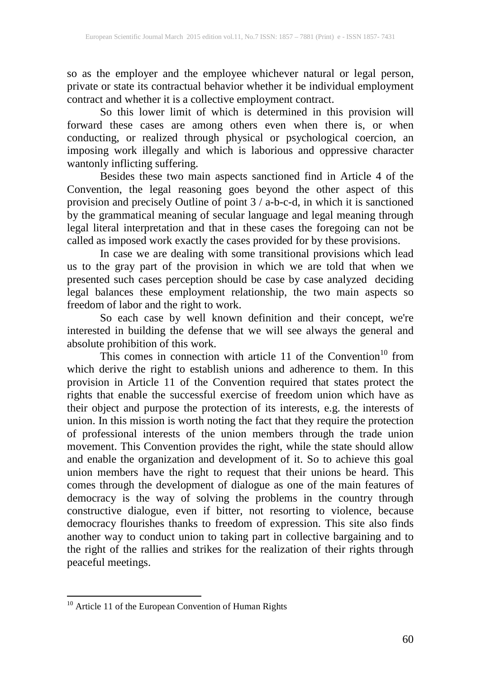so as the employer and the employee whichever natural or legal person, private or state its contractual behavior whether it be individual employment contract and whether it is a collective employment contract.

So this lower limit of which is determined in this provision will forward these cases are among others even when there is, or when conducting, or realized through physical or psychological coercion, an imposing work illegally and which is laborious and oppressive character wantonly inflicting suffering.

Besides these two main aspects sanctioned find in Article 4 of the Convention, the legal reasoning goes beyond the other aspect of this provision and precisely Outline of point 3 / a-b-c-d, in which it is sanctioned by the grammatical meaning of secular language and legal meaning through legal literal interpretation and that in these cases the foregoing can not be called as imposed work exactly the cases provided for by these provisions.

In case we are dealing with some transitional provisions which lead us to the gray part of the provision in which we are told that when we presented such cases perception should be case by case analyzed deciding legal balances these employment relationship, the two main aspects so freedom of labor and the right to work.

So each case by well known definition and their concept, we're interested in building the defense that we will see always the general and absolute prohibition of this work.

This comes in connection with article 11 of the Convention<sup>10</sup> from which derive the right to establish unions and adherence to them. In this provision in Article 11 of the Convention required that states protect the rights that enable the successful exercise of freedom union which have as their object and purpose the protection of its interests, e.g. the interests of union. In this mission is worth noting the fact that they require the protection of professional interests of the union members through the trade union movement. This Convention provides the right, while the state should allow and enable the organization and development of it. So to achieve this goal union members have the right to request that their unions be heard. This comes through the development of dialogue as one of the main features of democracy is the way of solving the problems in the country through constructive dialogue, even if bitter, not resorting to violence, because democracy flourishes thanks to freedom of expression. This site also finds another way to conduct union to taking part in collective bargaining and to the right of the rallies and strikes for the realization of their rights through peaceful meetings.

<sup>&</sup>lt;sup>10</sup> Article 11 of the European Convention of Human Rights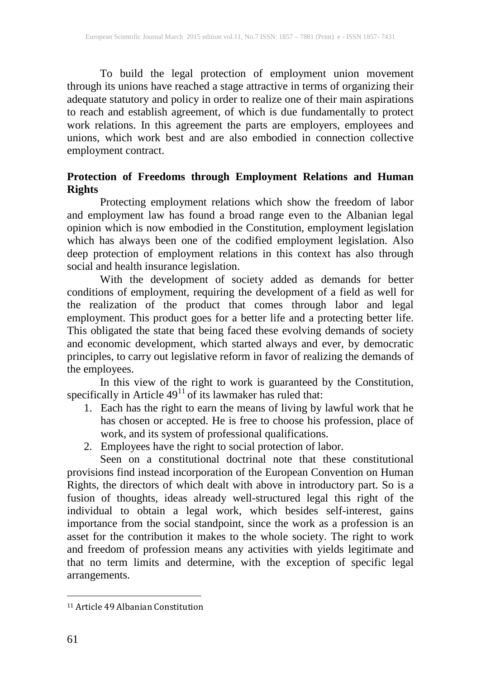To build the legal protection of employment union movement through its unions have reached a stage attractive in terms of organizing their adequate statutory and policy in order to realize one of their main aspirations to reach and establish agreement, of which is due fundamentally to protect work relations. In this agreement the parts are employers, employees and unions, which work best and are also embodied in connection collective employment contract.

## **Protection of Freedoms through Employment Relations and Human Rights**

Protecting employment relations which show the freedom of labor and employment law has found a broad range even to the Albanian legal opinion which is now embodied in the Constitution, employment legislation which has always been one of the codified employment legislation. Also deep protection of employment relations in this context has also through social and health insurance legislation.

With the development of society added as demands for better conditions of employment, requiring the development of a field as well for the realization of the product that comes through labor and legal employment. This product goes for a better life and a protecting better life. This obligated the state that being faced these evolving demands of society and economic development, which started always and ever, by democratic principles, to carry out legislative reform in favor of realizing the demands of the employees.

In this view of the right to work is guaranteed by the Constitution, specifically in Article  $49<sup>11</sup>$  of its lawmaker has ruled that:

- 1. Each has the right to earn the means of living by lawful work that he has chosen or accepted. He is free to choose his profession, place of work, and its system of professional qualifications.
- 2. Employees have the right to social protection of labor.

Seen on a constitutional doctrinal note that these constitutional provisions find instead incorporation of the European Convention on Human Rights, the directors of which dealt with above in introductory part. So is a fusion of thoughts, ideas already well-structured legal this right of the individual to obtain a legal work, which besides self-interest, gains importance from the social standpoint, since the work as a profession is an asset for the contribution it makes to the whole society. The right to work and freedom of profession means any activities with yields legitimate and that no term limits and determine, with the exception of specific legal arrangements.

 $\overline{\phantom{a}}$ 

<sup>11</sup> Article 49 Albanian Constitution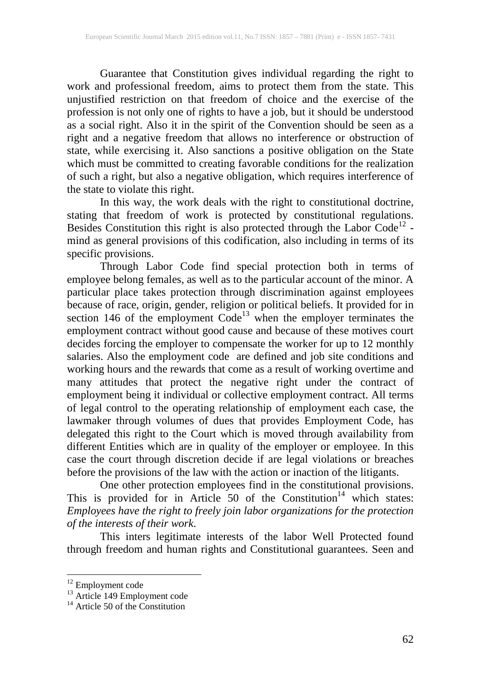Guarantee that Constitution gives individual regarding the right to work and professional freedom, aims to protect them from the state. This unjustified restriction on that freedom of choice and the exercise of the profession is not only one of rights to have a job, but it should be understood as a social right. Also it in the spirit of the Convention should be seen as a right and a negative freedom that allows no interference or obstruction of state, while exercising it. Also sanctions a positive obligation on the State which must be committed to creating favorable conditions for the realization of such a right, but also a negative obligation, which requires interference of the state to violate this right.

In this way, the work deals with the right to constitutional doctrine, stating that freedom of work is protected by constitutional regulations. Besides Constitution this right is also protected through the Labor Code<sup>12</sup> mind as general provisions of this codification, also including in terms of its specific provisions.

Through Labor Code find special protection both in terms of employee belong females, as well as to the particular account of the minor. A particular place takes protection through discrimination against employees because of race, origin, gender, religion or political beliefs. It provided for in section 146 of the employment  $Code<sup>13</sup>$  when the employer terminates the employment contract without good cause and because of these motives court decides forcing the employer to compensate the worker for up to 12 monthly salaries. Also the employment code are defined and job site conditions and working hours and the rewards that come as a result of working overtime and many attitudes that protect the negative right under the contract of employment being it individual or collective employment contract. All terms of legal control to the operating relationship of employment each case, the lawmaker through volumes of dues that provides Employment Code, has delegated this right to the Court which is moved through availability from different Entities which are in quality of the employer or employee. In this case the court through discretion decide if are legal violations or breaches before the provisions of the law with the action or inaction of the litigants.

One other protection employees find in the constitutional provisions. This is provided for in Article  $50$  of the Constitution<sup>14</sup> which states: *Employees have the right to freely join labor organizations for the protection of the interests of their work*.

This inters legitimate interests of the labor Well Protected found through freedom and human rights and Constitutional guarantees. Seen and

<sup>&</sup>lt;sup>12</sup> Employment code<br><sup>13</sup> Article 149 Employment code<br><sup>14</sup> Article 50 of the Constitution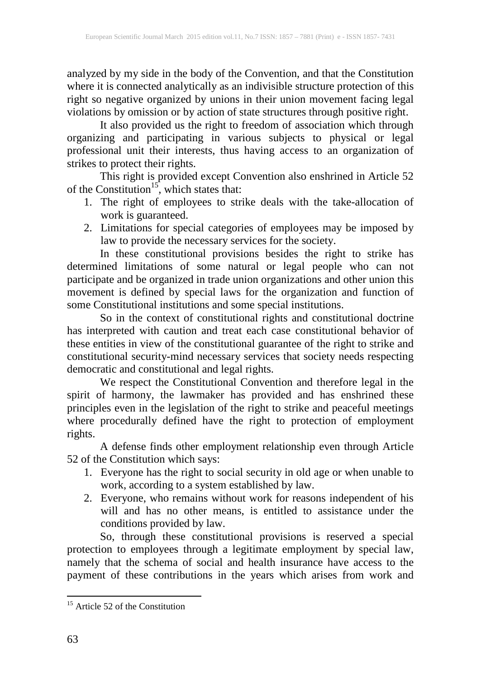analyzed by my side in the body of the Convention, and that the Constitution where it is connected analytically as an indivisible structure protection of this right so negative organized by unions in their union movement facing legal violations by omission or by action of state structures through positive right.

It also provided us the right to freedom of association which through organizing and participating in various subjects to physical or legal professional unit their interests, thus having access to an organization of strikes to protect their rights.

This right is provided except Convention also enshrined in Article 52 of the Constitution<sup>15</sup>, which states that:

- 1. The right of employees to strike deals with the take-allocation of work is guaranteed.
- 2. Limitations for special categories of employees may be imposed by law to provide the necessary services for the society.

In these constitutional provisions besides the right to strike has determined limitations of some natural or legal people who can not participate and be organized in trade union organizations and other union this movement is defined by special laws for the organization and function of some Constitutional institutions and some special institutions.

So in the context of constitutional rights and constitutional doctrine has interpreted with caution and treat each case constitutional behavior of these entities in view of the constitutional guarantee of the right to strike and constitutional security-mind necessary services that society needs respecting democratic and constitutional and legal rights.

We respect the Constitutional Convention and therefore legal in the spirit of harmony, the lawmaker has provided and has enshrined these principles even in the legislation of the right to strike and peaceful meetings where procedurally defined have the right to protection of employment rights.

A defense finds other employment relationship even through Article 52 of the Constitution which says:

- 1. Everyone has the right to social security in old age or when unable to work, according to a system established by law.
- 2. Everyone, who remains without work for reasons independent of his will and has no other means, is entitled to assistance under the conditions provided by law.

So, through these constitutional provisions is reserved a special protection to employees through a legitimate employment by special law, namely that the schema of social and health insurance have access to the payment of these contributions in the years which arises from work and

<sup>&</sup>lt;sup>15</sup> Article 52 of the Constitution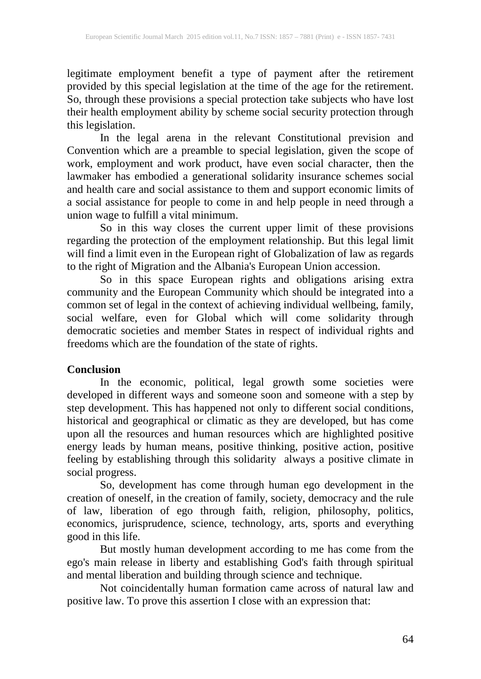legitimate employment benefit a type of payment after the retirement provided by this special legislation at the time of the age for the retirement. So, through these provisions a special protection take subjects who have lost their health employment ability by scheme social security protection through this legislation.

In the legal arena in the relevant Constitutional prevision and Convention which are a preamble to special legislation, given the scope of work, employment and work product, have even social character, then the lawmaker has embodied a generational solidarity insurance schemes social and health care and social assistance to them and support economic limits of a social assistance for people to come in and help people in need through a union wage to fulfill a vital minimum.

So in this way closes the current upper limit of these provisions regarding the protection of the employment relationship. But this legal limit will find a limit even in the European right of Globalization of law as regards to the right of Migration and the Albania's European Union accession.

So in this space European rights and obligations arising extra community and the European Community which should be integrated into a common set of legal in the context of achieving individual wellbeing, family, social welfare, even for Global which will come solidarity through democratic societies and member States in respect of individual rights and freedoms which are the foundation of the state of rights.

#### **Conclusion**

In the economic, political, legal growth some societies were developed in different ways and someone soon and someone with a step by step development. This has happened not only to different social conditions, historical and geographical or climatic as they are developed, but has come upon all the resources and human resources which are highlighted positive energy leads by human means, positive thinking, positive action, positive feeling by establishing through this solidarity always a positive climate in social progress.

So, development has come through human ego development in the creation of oneself, in the creation of family, society, democracy and the rule of law, liberation of ego through faith, religion, philosophy, politics, economics, jurisprudence, science, technology, arts, sports and everything good in this life.

But mostly human development according to me has come from the ego's main release in liberty and establishing God's faith through spiritual and mental liberation and building through science and technique.

Not coincidentally human formation came across of natural law and positive law. To prove this assertion I close with an expression that: